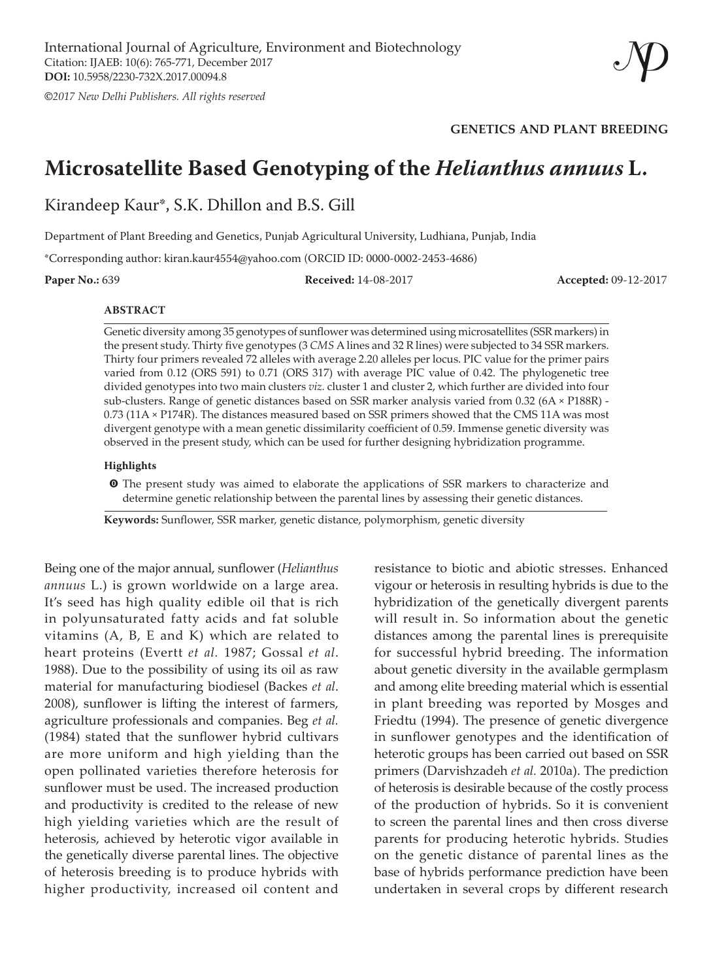**©***2017 New Delhi Publishers. All rights reserved*

**GENETICS AND PLANT BREEDING**

# **Microsatellite Based Genotyping of the** *Helianthus annuus* **L.**

Kirandeep Kaur\*, S.K. Dhillon and B.S. Gill

Department of Plant Breeding and Genetics, Punjab Agricultural University, Ludhiana, Punjab, India

\*Corresponding author: kiran.kaur4554@yahoo.com (ORCID ID: 0000-0002-2453-4686)

**Paper No.:** 639 **Received:** 14-08-2017 **Accepted:** 09-12-2017

#### **ABSTRACT**

Genetic diversity among 35 genotypes of sunflower was determined using microsatellites (SSR markers) in the present study. Thirty five genotypes (3 *CMS* A lines and 32 R lines) were subjected to 34 SSR markers. Thirty four primers revealed 72 alleles with average 2.20 alleles per locus. PIC value for the primer pairs varied from 0.12 (ORS 591) to 0.71 (ORS 317) with average PIC value of 0.42. The phylogenetic tree divided genotypes into two main clusters *viz.* cluster 1 and cluster 2, which further are divided into four sub-clusters. Range of genetic distances based on SSR marker analysis varied from 0.32 (6A × P188R) - 0.73 (11A × P174R). The distances measured based on SSR primers showed that the CMS 11A was most divergent genotype with a mean genetic dissimilarity coefficient of 0.59. Immense genetic diversity was observed in the present study, which can be used for further designing hybridization programme.

#### **Highlights**

**O** The present study was aimed to elaborate the applications of SSR markers to characterize and determine genetic relationship between the parental lines by assessing their genetic distances.

**Keywords:** Sunflower, SSR marker, genetic distance, polymorphism, genetic diversity

Being one of the major annual, sunflower (*Helianthus annuus* L.) is grown worldwide on a large area. It's seed has high quality edible oil that is rich in polyunsaturated fatty acids and fat soluble vitamins (A, B, E and K) which are related to heart proteins (Evertt *et al.* 1987; Gossal *et al*. 1988). Due to the possibility of using its oil as raw material for manufacturing biodiesel (Backes *et al*. 2008), sunflower is lifting the interest of farmers, agriculture professionals and companies. Beg *et al.* (1984) stated that the sunflower hybrid cultivars are more uniform and high yielding than the open pollinated varieties therefore heterosis for sunflower must be used. The increased production and productivity is credited to the release of new high yielding varieties which are the result of heterosis, achieved by heterotic vigor available in the genetically diverse parental lines. The objective of heterosis breeding is to produce hybrids with higher productivity, increased oil content and

resistance to biotic and abiotic stresses. Enhanced vigour or heterosis in resulting hybrids is due to the hybridization of the genetically divergent parents will result in. So information about the genetic distances among the parental lines is prerequisite for successful hybrid breeding. The information about genetic diversity in the available germplasm and among elite breeding material which is essential in plant breeding was reported by Mosges and Friedtu (1994). The presence of genetic divergence in sunflower genotypes and the identification of heterotic groups has been carried out based on SSR primers (Darvishzadeh *et al.* 2010a). The prediction of heterosis is desirable because of the costly process of the production of hybrids. So it is convenient to screen the parental lines and then cross diverse parents for producing heterotic hybrids. Studies on the genetic distance of parental lines as the base of hybrids performance prediction have been undertaken in several crops by different research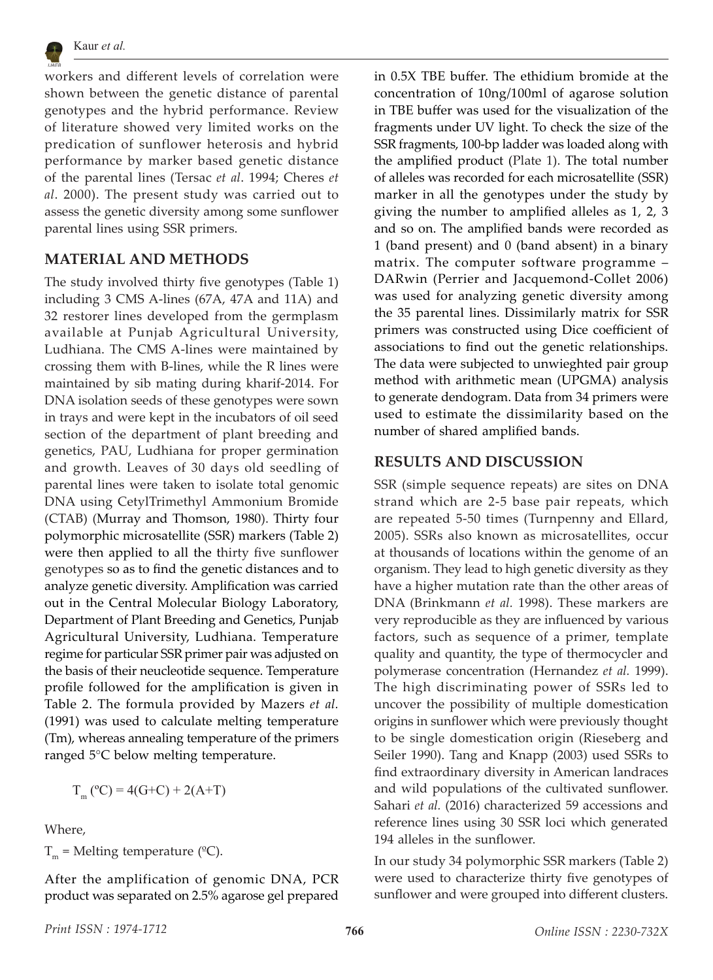

workers and different levels of correlation were shown between the genetic distance of parental genotypes and the hybrid performance. Review of literature showed very limited works on the predication of sunflower heterosis and hybrid performance by marker based genetic distance of the parental lines (Tersac *et al*. 1994; Cheres *et al*. 2000). The present study was carried out to assess the genetic diversity among some sunflower parental lines using SSR primers.

### **MATERIAL AND METHODS**

The study involved thirty five genotypes (Table 1) including 3 CMS A-lines (67A, 47A and 11A) and 32 restorer lines developed from the germplasm available at Punjab Agricultural University, Ludhiana. The CMS A-lines were maintained by crossing them with B-lines, while the R lines were maintained by sib mating during kharif-2014. For DNA isolation seeds of these genotypes were sown in trays and were kept in the incubators of oil seed section of the department of plant breeding and genetics, PAU, Ludhiana for proper germination and growth. Leaves of 30 days old seedling of parental lines were taken to isolate total genomic DNA using CetylTrimethyl Ammonium Bromide (CTAB) (Murray and Thomson, 1980). Thirty four polymorphic microsatellite (SSR) markers (Table 2) were then applied to all the thirty five sunflower genotypes so as to find the genetic distances and to analyze genetic diversity. Amplification was carried out in the Central Molecular Biology Laboratory, Department of Plant Breeding and Genetics, Punjab Agricultural University, Ludhiana. Temperature regime for particular SSR primer pair was adjusted on the basis of their neucleotide sequence. Temperature profile followed for the amplification is given in Table 2. The formula provided by Mazers *et al.*  (1991) was used to calculate melting temperature (Tm), whereas annealing temperature of the primers ranged 5°C below melting temperature.

$$
T_m(^{\circ}C) = 4(G+C) + 2(A+T)
$$

Where,

 $T_m$  = Melting temperature (°C).

After the amplification of genomic DNA, PCR product was separated on 2.5% agarose gel prepared in 0.5X TBE buffer. The ethidium bromide at the concentration of 10ng/100ml of agarose solution in TBE buffer was used for the visualization of the fragments under UV light. To check the size of the SSR fragments, 100-bp ladder was loaded along with the amplified product (Plate 1). The total number of alleles was recorded for each microsatellite (SSR) marker in all the genotypes under the study by giving the number to amplified alleles as 1, 2, 3 and so on. The amplified bands were recorded as 1 (band present) and 0 (band absent) in a binary matrix. The computer software programme – DARwin (Perrier and Jacquemond-Collet 2006) was used for analyzing genetic diversity among the 35 parental lines. Dissimilarly matrix for SSR primers was constructed using Dice coefficient of associations to find out the genetic relationships. The data were subjected to unwieghted pair group method with arithmetic mean (UPGMA) analysis to generate dendogram. Data from 34 primers were used to estimate the dissimilarity based on the number of shared amplified bands.

### **RESULTS AND DISCUSSION**

SSR (simple sequence repeats) are sites on DNA strand which are 2-5 base pair repeats, which are repeated 5-50 times (Turnpenny and Ellard, 2005). SSRs also known as microsatellites, occur at thousands of locations within the genome of an organism. They lead to high genetic diversity as they have a higher mutation rate than the other areas of DNA (Brinkmann *et al.* 1998). These markers are very reproducible as they are influenced by various factors, such as sequence of a primer, template quality and quantity, the type of thermocycler and polymerase concentration (Hernandez *et al.* 1999). The high discriminating power of SSRs led to uncover the possibility of multiple domestication origins in sunflower which were previously thought to be single domestication origin (Rieseberg and Seiler 1990). Tang and Knapp (2003) used SSRs to find extraordinary diversity in American landraces and wild populations of the cultivated sunflower. Sahari *et al.* (2016) characterized 59 accessions and reference lines using 30 SSR loci which generated 194 alleles in the sunflower.

In our study 34 polymorphic SSR markers (Table 2) were used to characterize thirty five genotypes of sunflower and were grouped into different clusters.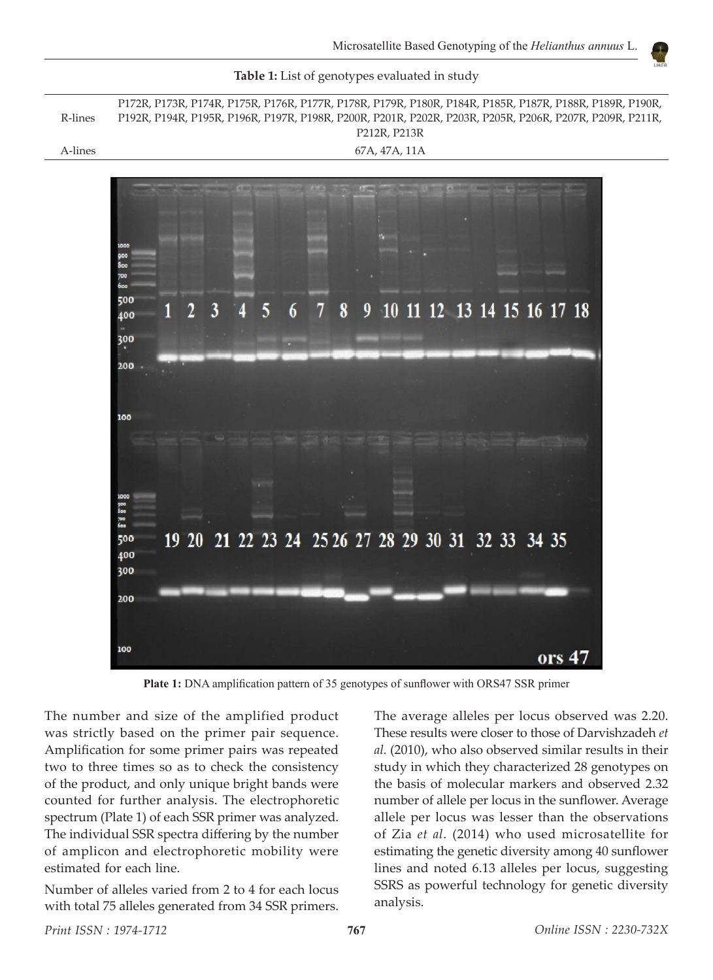

**Table 1:** List of genotypes evaluated in study

**Plate 1:** DNA amplification pattern of 35 genotypes of sunflower with ORS47 SSR primer

The number and size of the amplified product was strictly based on the primer pair sequence. Amplification for some primer pairs was repeated two to three times so as to check the consistency of the product, and only unique bright bands were counted for further analysis. The electrophoretic spectrum (Plate 1) of each SSR primer was analyzed. The individual SSR spectra differing by the number of amplicon and electrophoretic mobility were estimated for each line.

Number of alleles varied from 2 to 4 for each locus with total 75 alleles generated from 34 SSR primers. The average alleles per locus observed was 2.20. These results were closer to those of Darvishzadeh *et al.* (2010), who also observed similar results in their study in which they characterized 28 genotypes on the basis of molecular markers and observed 2.32 number of allele per locus in the sunflower. Average allele per locus was lesser than the observations of Zia *et al*. (2014) who used microsatellite for estimating the genetic diversity among 40 sunflower lines and noted 6.13 alleles per locus, suggesting SSRS as powerful technology for genetic diversity analysis.

R-lines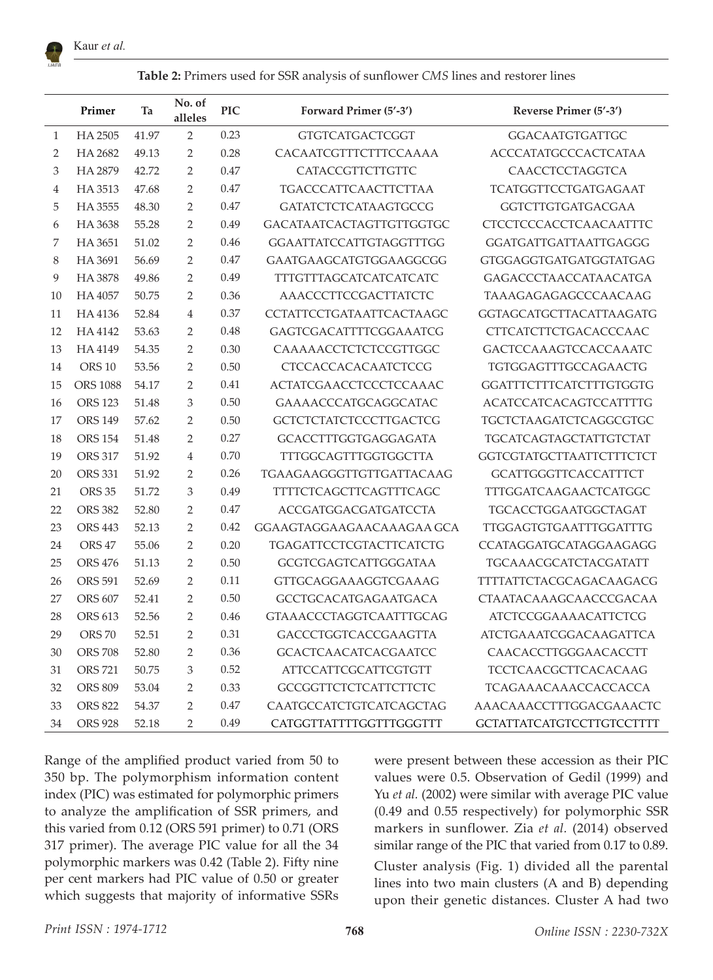

**Table 2:** Primers used for SSR analysis of sunflower *CMS* lines and restorer lines

|              | Primer            | Ta    | No. of<br>alleles | <b>PIC</b> | Forward Primer (5'-3')          | Reverse Primer (5'-3')           |  |  |  |  |
|--------------|-------------------|-------|-------------------|------------|---------------------------------|----------------------------------|--|--|--|--|
| $\mathbf{1}$ | HA 2505           | 41.97 | $\overline{2}$    | 0.23       | <b>GTGTCATGACTCGGT</b>          | <b>GGACAATGTGATTGC</b>           |  |  |  |  |
| 2            | HA 2682           | 49.13 | $\overline{2}$    | 0.28       | CACAATCGTTTCTTTCCAAAA           | <b>ACCCATATGCCCACTCATAA</b>      |  |  |  |  |
| 3            | HA 2879           | 42.72 | 2                 | 0.47       | CATACCGTTCTTGTTC                | CAACCTCCTAGGTCA                  |  |  |  |  |
| 4            | HA 3513           | 47.68 | 2                 | 0.47       | <b>TGACCCATTCAACTTCTTAA</b>     | TCATGGTTCCTGATGAGAAT             |  |  |  |  |
| 5            | HA 3555           | 48.30 | 2                 | 0.47       | <b>GATATCTCTCATAAGTGCCG</b>     | <b>GGTCTTGTGATGACGAA</b>         |  |  |  |  |
| 6            | HA 3638           | 55.28 | $\overline{2}$    | 0.49       | GACATAATCACTAGTTGTTGGTGC        | CTCCTCCCACCTCAACAATTTC           |  |  |  |  |
| 7            | HA 3651           | 51.02 | $\overline{2}$    | 0.46       | <b>GGAATTATCCATTGTAGGTTTGG</b>  | GGATGATTGATTAATTGAGGG            |  |  |  |  |
| 8            | HA 3691           | 56.69 | 2                 | 0.47       | GAATGAAGCATGTGGAAGGCGG          | <b>GTGGAGGTGATGATGGTATGAG</b>    |  |  |  |  |
| 9            | HA 3878           | 49.86 | 2                 | 0.49       | TTTGTTTAGCATCATCATCATC          | GAGACCCTAACCATAACATGA            |  |  |  |  |
| 10           | HA 4057           | 50.75 | 2                 | 0.36       | AAACCCTTCCGACTTATCTC            | TAAAGAGAGAGCCCAACAAG             |  |  |  |  |
| 11           | HA4136            | 52.84 | $\overline{4}$    | 0.37       | <b>CCTATTCCTGATAATTCACTAAGC</b> | GGTAGCATGCTTACATTAAGATG          |  |  |  |  |
| 12           | HA4142            | 53.63 | 2                 | 0.48       | GAGTCGACATTTTCGGAAATCG          | CTTCATCTTCTGACACCCAAC            |  |  |  |  |
| 13           | HA 4149           | 54.35 | $\mathcal{P}$     | 0.30       | CAAAAACCTCTCTCCGTTGGC           | GACTCCAAAGTCCACCAAATC            |  |  |  |  |
| 14           | ORS <sub>10</sub> | 53.56 | 2                 | 0.50       | <b>CTCCACCACACAATCTCCG</b>      | TGTGGAGTTTGCCAGAACTG             |  |  |  |  |
| 15           | <b>ORS 1088</b>   | 54.17 | $\mathcal{P}$     | 0.41       | ACTATCGAACCTCCCTCCAAAC          | <b>GGATTTCTTTCATCTTTGTGGTG</b>   |  |  |  |  |
| 16           | <b>ORS 123</b>    | 51.48 | 3                 | 0.50       | GAAAACCCATGCAGGCATAC            | <b>ACATCCATCACAGTCCATTTTG</b>    |  |  |  |  |
| 17           | <b>ORS 149</b>    | 57.62 | 2                 | 0.50       | <b>GCTCTCTATCTCCCTTGACTCG</b>   | TGCTCTAAGATCTCAGGCGTGC           |  |  |  |  |
| 18           | <b>ORS 154</b>    | 51.48 | 2                 | 0.27       | <b>GCACCTTTGGTGAGGAGATA</b>     | <b>TGCATCAGTAGCTATTGTCTAT</b>    |  |  |  |  |
| 19           | <b>ORS 317</b>    | 51.92 | $\overline{4}$    | 0.70       | TTTGGCAGTTTGGTGGCTTA            | GGTCGTATGCTTAATTCTTTCTCT         |  |  |  |  |
| 20           | <b>ORS 331</b>    | 51.92 | 2                 | 0.26       | TGAAGAAGGGTTGTTGATTACAAG        | <b>GCATTGGGTTCACCATTTCT</b>      |  |  |  |  |
| 21           | <b>ORS 35</b>     | 51.72 | 3                 | 0.49       | <b>TTTTCTCAGCTTCAGTTTCAGC</b>   | <b>TTTGGATCAAGAACTCATGGC</b>     |  |  |  |  |
| 22           | <b>ORS 382</b>    | 52.80 | $\overline{2}$    | 0.47       | <b>ACCGATGGACGATGATCCTA</b>     | <b>TGCACCTGGAATGGCTAGAT</b>      |  |  |  |  |
| 23           | <b>ORS 443</b>    | 52.13 | 2                 | 0.42       | GGAAGTAGGAAGAACAAAGAA GCA       | TTGGAGTGTGAATTTGGATTTG           |  |  |  |  |
| 24           | ORS <sub>47</sub> | 55.06 | $\overline{2}$    | 0.20       | <b>TGAGATTCCTCGTACTTCATCTG</b>  | CCATAGGATGCATAGGAAGAGG           |  |  |  |  |
| 25           | <b>ORS 476</b>    | 51.13 | 2                 | 0.50       | GCGTCGAGTCATTGGGATAA            | <b>TGCAAACGCATCTACGATATT</b>     |  |  |  |  |
| 26           | <b>ORS 591</b>    | 52.69 | 2                 | 0.11       | GTTGCAGGAAAGGTCGAAAG            | TTTTATTCTACGCAGACAAGACG          |  |  |  |  |
| 27           | <b>ORS 607</b>    | 52.41 | 2                 | 0.50       | <b>GCCTGCACATGAGAATGACA</b>     | CTAATACAAAGCAACCCGACAA           |  |  |  |  |
| 28           | <b>ORS 613</b>    | 52.56 | $\mathcal{P}$     | 0.46       | <b>GTAAACCCTAGGTCAATTTGCAG</b>  | <b>ATCTCCGGAAAACATTCTCG</b>      |  |  |  |  |
| 29           | <b>ORS 70</b>     | 52.51 | 2                 | 0.31       | <b>GACCCTGGTCACCGAAGTTA</b>     | <b>ATCTGAAATCGGACAAGATTCA</b>    |  |  |  |  |
| 30           | <b>ORS 708</b>    | 52.80 | 2                 | 0.36       | <b>GCACTCAACATCACGAATCC</b>     | CAACACCTTGGGAACACCTT             |  |  |  |  |
| 31           | <b>ORS 721</b>    | 50.75 | 3                 | 0.52       | <b>ATTCCATTCGCATTCGTGTT</b>     | <b>TCCTCAACGCTTCACACAAG</b>      |  |  |  |  |
| 32           | <b>ORS 809</b>    | 53.04 | 2                 | 0.33       | <b>GCCGGTTCTCTCATTCTTCTC</b>    | TCAGAAACAAACCACCACCA             |  |  |  |  |
| 33           | <b>ORS 822</b>    | 54.37 | $\overline{2}$    | 0.47       | <b>CAATGCCATCTGTCATCAGCTAG</b>  | AAACAAACCTTTGGACGAAACTC          |  |  |  |  |
| 34           | <b>ORS 928</b>    | 52.18 | $\mathfrak{D}$    | 0.49       | CATGGTTATTTTGGTTTGGGTTT         | <b>GCTATTATCATGTCCTTGTCCTTTT</b> |  |  |  |  |

Range of the amplified product varied from 50 to 350 bp. The polymorphism information content index (PIC) was estimated for polymorphic primers to analyze the amplification of SSR primers, and this varied from 0.12 (ORS 591 primer) to 0.71 (ORS 317 primer). The average PIC value for all the 34 polymorphic markers was 0.42 (Table 2). Fifty nine per cent markers had PIC value of 0.50 or greater which suggests that majority of informative SSRs were present between these accession as their PIC values were 0.5. Observation of Gedil (1999) and Yu *et al.* (2002) were similar with average PIC value (0.49 and 0.55 respectively) for polymorphic SSR markers in sunflower. Zia *et al.* (2014) observed similar range of the PIC that varied from 0.17 to 0.89.

Cluster analysis (Fig. 1) divided all the parental lines into two main clusters (A and B) depending upon their genetic distances. Cluster A had two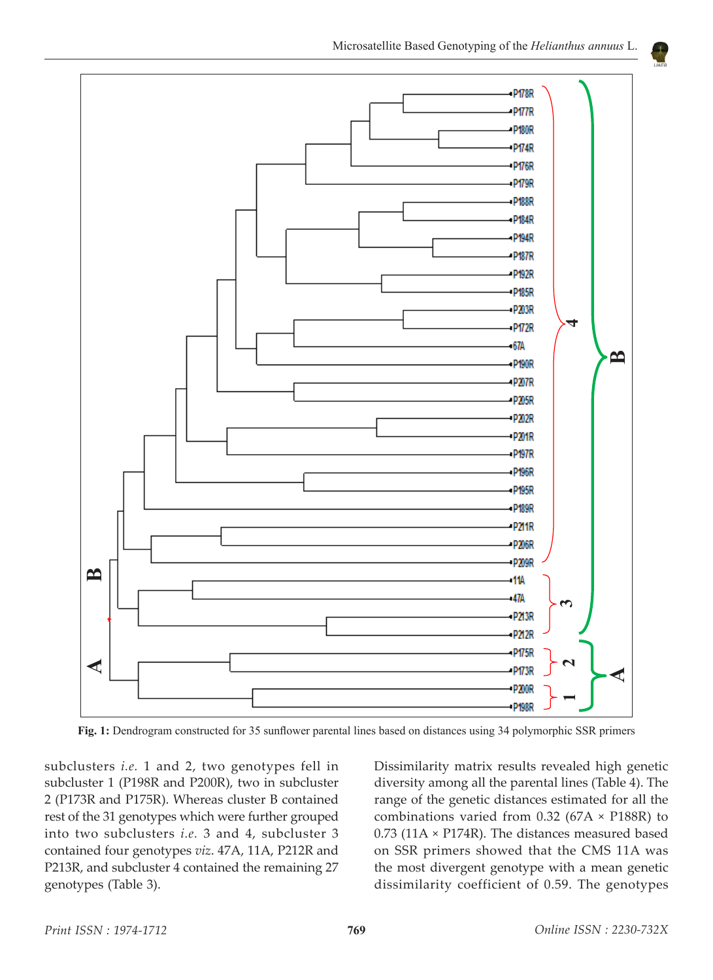

**Fig. 1:** Dendrogram constructed for 35 sunflower parental lines based on distances using 34 polymorphic SSR primers

subclusters *i.e.* 1 and 2, two genotypes fell in subcluster 1 (P198R and P200R), two in subcluster 2 (P173R and P175R). Whereas cluster B contained rest of the 31 genotypes which were further grouped into two subclusters *i.e.* 3 and 4, subcluster 3 contained four genotypes *viz*. 47A, 11A, P212R and P213R, and subcluster 4 contained the remaining 27 genotypes (Table 3).

example of the generic distances estimated for an the<br>combinations varied from 0.32 (67A × P188R) to Dissimilarity matrix results revealed high genetic diversity among all the parental lines (Table 4). The range of the genetic distances estimated for all the  $0.73$  (11A × P174R). The distances measured based on SSR primers showed that the CMS 11A was the most divergent genotype with a mean genetic dissimilarity coefficient of 0.59. The genotypes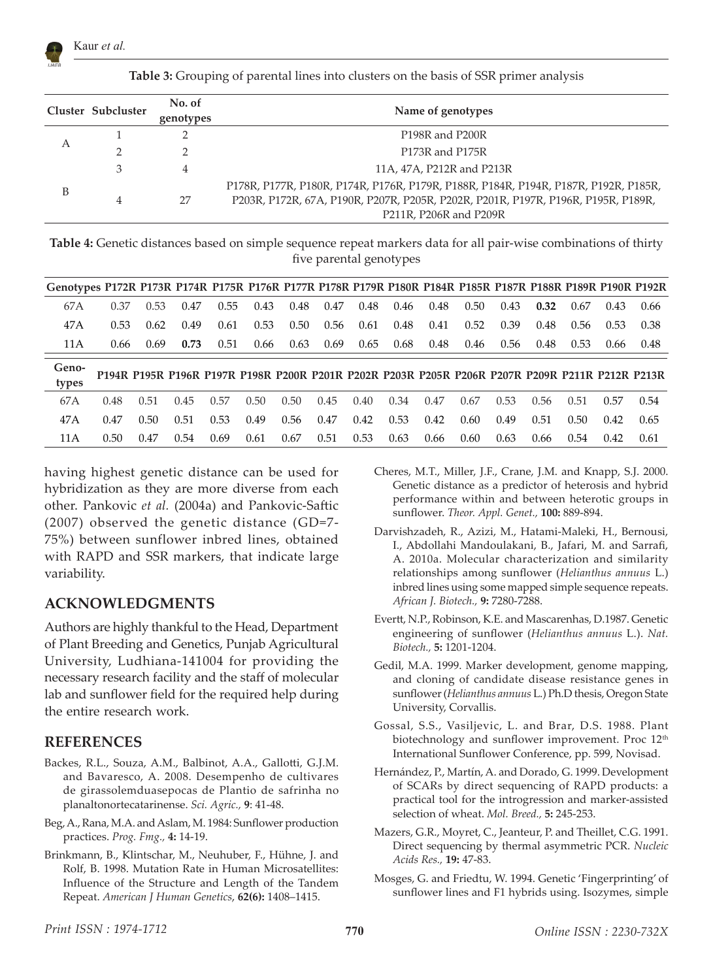

| Table 3: Grouping of parental lines into clusters on the basis of SSR primer analysis |  |  |  |  |  |  |  |
|---------------------------------------------------------------------------------------|--|--|--|--|--|--|--|
|---------------------------------------------------------------------------------------|--|--|--|--|--|--|--|

|   | Cluster Subcluster | No. of<br>genotypes | Name of genotypes                                                                                                                                                                                  |
|---|--------------------|---------------------|----------------------------------------------------------------------------------------------------------------------------------------------------------------------------------------------------|
|   |                    |                     | P <sub>198</sub> R and P <sub>200</sub> R                                                                                                                                                          |
| А |                    |                     | P173R and P175R                                                                                                                                                                                    |
|   | 3                  | 4                   | 11A, 47A, P212R and P213R                                                                                                                                                                          |
| B | 4                  | 27                  | P178R, P177R, P180R, P174R, P176R, P179R, P188R, P184R, P194R, P187R, P192R, P185R,<br>P203R, P172R, 67A, P190R, P207R, P205R, P202R, P201R, P197R, P196R, P195R, P189R,<br>P211R, P206R and P209R |

**Table 4:** Genetic distances based on simple sequence repeat markers data for all pair-wise combinations of thirty five parental genotypes

| Genotypes P172R P173R P174R P175R P176R P177R P178R P179R P180R P184R P185R P187R P188R P189R P190R P192R |      |      |      |      |                                                                                                 |      |      |      |      |      |      |      |      |      |      |      |
|-----------------------------------------------------------------------------------------------------------|------|------|------|------|-------------------------------------------------------------------------------------------------|------|------|------|------|------|------|------|------|------|------|------|
| 67A                                                                                                       | 0.37 | 0.53 | 0.47 | 0.55 | 0.43                                                                                            | 0.48 | 0.47 | 0.48 | 0.46 | 0.48 | 0.50 | 0.43 | 0.32 | 0.67 | 0.43 | 0.66 |
| 47A                                                                                                       | 0.53 | 0.62 | 0.49 | 0.61 | 0.53                                                                                            | 0.50 | 0.56 | 0.61 | 0.48 | 0.41 | 0.52 | 0.39 | 0.48 | 0.56 | 0.53 | 0.38 |
| 11A                                                                                                       | 0.66 | 0.69 | 0.73 | 0.51 | 0.66                                                                                            | 0.63 | 0.69 | 0.65 | 0.68 | 0.48 | 0.46 | 0.56 | 0.48 | 0.53 | 0.66 | 0.48 |
| Geno-<br>types                                                                                            |      |      |      |      | P194R P195R P196R P197R P198R P200R P201R P202R P203R P205R P206R P207R P209R P211R P212R P213R |      |      |      |      |      |      |      |      |      |      |      |
| 67A                                                                                                       | 0.48 | 0.51 | 0.45 | 0.57 | 0.50                                                                                            | 0.50 | 0.45 | 0.40 | 0.34 | 0.47 | 0.67 | 0.53 | 0.56 | 0.51 | 0.57 | 0.54 |
| 47A                                                                                                       | 0.47 | 0.50 | 0.51 | 0.53 | 0.49                                                                                            | 0.56 | 0.47 | 0.42 | 0.53 | 0.42 | 0.60 | 0.49 | 0.51 | 0.50 | 0.42 | 0.65 |
| 0.50<br>11 A                                                                                              |      |      |      |      |                                                                                                 |      |      |      |      |      |      |      |      |      |      |      |

having highest genetic distance can be used for hybridization as they are more diverse from each other. Pankovic *et al.* (2004a) and Pankovic-Saftic (2007) observed the genetic distance (GD=7- 75%) between sunflower inbred lines, obtained with RAPD and SSR markers, that indicate large variability.

### **ACKNOWLEDGMENTS**

Authors are highly thankful to the Head, Department of Plant Breeding and Genetics, Punjab Agricultural University, Ludhiana-141004 for providing the necessary research facility and the staff of molecular lab and sunflower field for the required help during the entire research work.

## **REFERENCES**

- Backes, R.L., Souza, A.M., Balbinot, A.A., Gallotti, G.J.M. and Bavaresco, A. 2008. Desempenho de cultivares de girassolemduasepocas de Plantio de safrinha no planaltonortecatarinense. *Sci. Agric.,* **9**: 41-48.
- Beg, A., Rana, M.A. and Aslam, M. 1984: Sunflower production practices. *Prog. Fmg.,* **4:** 14-19.
- Brinkmann, B., Klintschar, M., Neuhuber, F., Hühne, J. and Rolf, B. 1998. Mutation Rate in Human Microsatellites: Influence of the Structure and Length of the Tandem Repeat. *American J Human Genetics*, **62(6):** 1408–1415.
- Cheres, M.T., Miller, J.F., Crane, J.M. and Knapp, S.J. 2000. Genetic distance as a predictor of heterosis and hybrid performance within and between heterotic groups in sunflower. *Theor. Appl. Genet.,* **100:** 889-894.
- Darvishzadeh, R., Azizi, M., Hatami-Maleki, H., Bernousi, I., Abdollahi Mandoulakani, B., Jafari, M. and Sarrafi, A. 2010a. Molecular characterization and similarity relationships among sunflower (*Helianthus annuus* L.) inbred lines using some mapped simple sequence repeats. *African J. Biotech.,* **9:** 7280-7288.
- Evertt, N.P., Robinson, K.E. and Mascarenhas, D.1987. Genetic engineering of sunflower (*Helianthus annuus* L.). *Nat. Biotech.,* **5:** 1201-1204.
- Gedil, M.A. 1999. Marker development, genome mapping, and cloning of candidate disease resistance genes in sunflower (*Helianthus annuus* L.) Ph.D thesis, Oregon State University, Corvallis.
- Gossal, S.S., Vasiljevic, L. and Brar, D.S. 1988. Plant biotechnology and sunflower improvement. Proc 12<sup>th</sup> International Sunflower Conference, pp. 599, Novisad.
- Hernández, P., Martín, A. and Dorado, G. 1999. Development of SCARs by direct sequencing of RAPD products: a practical tool for the introgression and marker-assisted selection of wheat. *Mol. Breed.,* **5:** 245-253.
- Mazers, G.R., Moyret, C., Jeanteur, P. and Theillet, C.G. 1991. Direct sequencing by thermal asymmetric PCR. *Nucleic Acids Res.,* **19:** 47-83.
- Mosges, G. and Friedtu, W. 1994. Genetic 'Fingerprinting' of sunflower lines and F1 hybrids using. Isozymes, simple